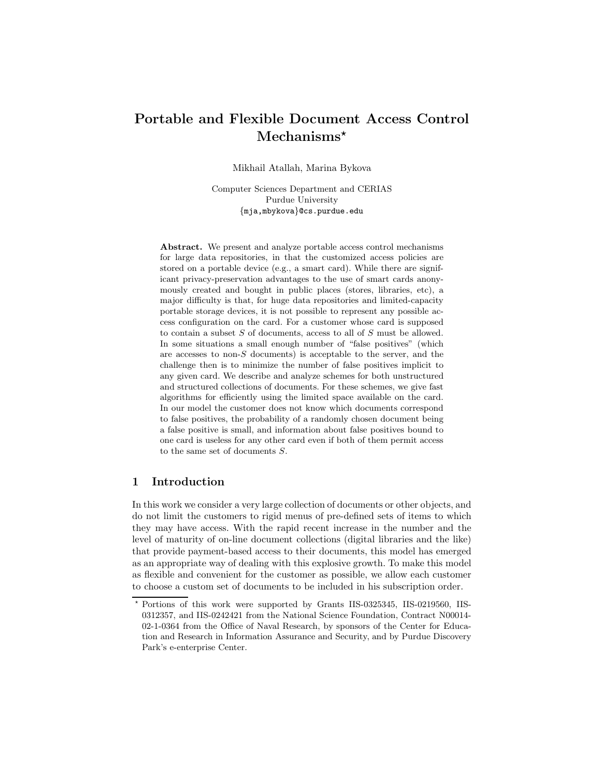# Portable and Flexible Document Access Control Mechanisms\*

Mikhail Atallah, Marina Bykova

Computer Sciences Department and CERIAS Purdue University {mja,mbykova}@cs.purdue.edu

Abstract. We present and analyze portable access control mechanisms for large data repositories, in that the customized access policies are stored on a portable device (e.g., a smart card). While there are significant privacy-preservation advantages to the use of smart cards anonymously created and bought in public places (stores, libraries, etc), a major difficulty is that, for huge data repositories and limited-capacity portable storage devices, it is not possible to represent any possible access configuration on the card. For a customer whose card is supposed to contain a subset S of documents, access to all of S must be allowed. In some situations a small enough number of "false positives" (which are accesses to non-S documents) is acceptable to the server, and the challenge then is to minimize the number of false positives implicit to any given card. We describe and analyze schemes for both unstructured and structured collections of documents. For these schemes, we give fast algorithms for efficiently using the limited space available on the card. In our model the customer does not know which documents correspond to false positives, the probability of a randomly chosen document being a false positive is small, and information about false positives bound to one card is useless for any other card even if both of them permit access to the same set of documents S.

# 1 Introduction

In this work we consider a very large collection of documents or other objects, and do not limit the customers to rigid menus of pre-defined sets of items to which they may have access. With the rapid recent increase in the number and the level of maturity of on-line document collections (digital libraries and the like) that provide payment-based access to their documents, this model has emerged as an appropriate way of dealing with this explosive growth. To make this model as flexible and convenient for the customer as possible, we allow each customer to choose a custom set of documents to be included in his subscription order.

<sup>?</sup> Portions of this work were supported by Grants IIS-0325345, IIS-0219560, IIS-0312357, and IIS-0242421 from the National Science Foundation, Contract N00014- 02-1-0364 from the Office of Naval Research, by sponsors of the Center for Education and Research in Information Assurance and Security, and by Purdue Discovery Park's e-enterprise Center.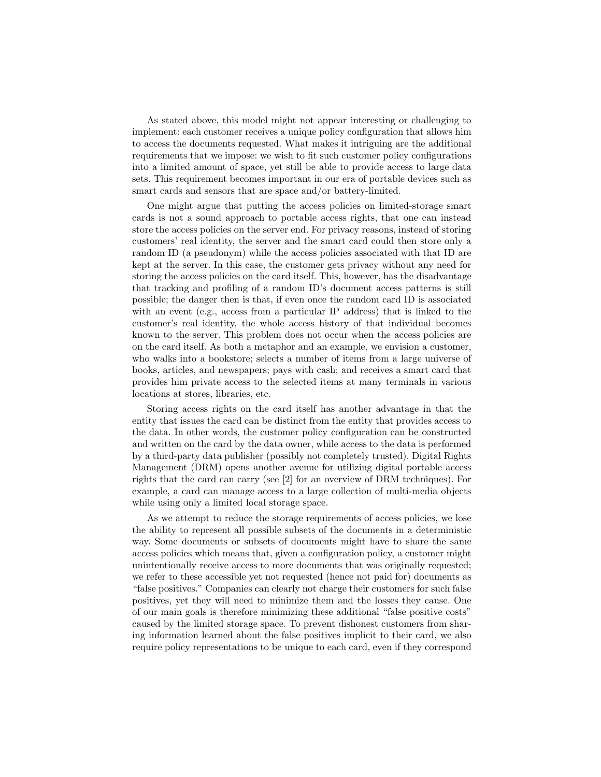As stated above, this model might not appear interesting or challenging to implement: each customer receives a unique policy configuration that allows him to access the documents requested. What makes it intriguing are the additional requirements that we impose: we wish to fit such customer policy configurations into a limited amount of space, yet still be able to provide access to large data sets. This requirement becomes important in our era of portable devices such as smart cards and sensors that are space and/or battery-limited.

One might argue that putting the access policies on limited-storage smart cards is not a sound approach to portable access rights, that one can instead store the access policies on the server end. For privacy reasons, instead of storing customers' real identity, the server and the smart card could then store only a random ID (a pseudonym) while the access policies associated with that ID are kept at the server. In this case, the customer gets privacy without any need for storing the access policies on the card itself. This, however, has the disadvantage that tracking and profiling of a random ID's document access patterns is still possible; the danger then is that, if even once the random card ID is associated with an event (e.g., access from a particular IP address) that is linked to the customer's real identity, the whole access history of that individual becomes known to the server. This problem does not occur when the access policies are on the card itself. As both a metaphor and an example, we envision a customer, who walks into a bookstore; selects a number of items from a large universe of books, articles, and newspapers; pays with cash; and receives a smart card that provides him private access to the selected items at many terminals in various locations at stores, libraries, etc.

Storing access rights on the card itself has another advantage in that the entity that issues the card can be distinct from the entity that provides access to the data. In other words, the customer policy configuration can be constructed and written on the card by the data owner, while access to the data is performed by a third-party data publisher (possibly not completely trusted). Digital Rights Management (DRM) opens another avenue for utilizing digital portable access rights that the card can carry (see [2] for an overview of DRM techniques). For example, a card can manage access to a large collection of multi-media objects while using only a limited local storage space.

As we attempt to reduce the storage requirements of access policies, we lose the ability to represent all possible subsets of the documents in a deterministic way. Some documents or subsets of documents might have to share the same access policies which means that, given a configuration policy, a customer might unintentionally receive access to more documents that was originally requested; we refer to these accessible yet not requested (hence not paid for) documents as "false positives." Companies can clearly not charge their customers for such false positives, yet they will need to minimize them and the losses they cause. One of our main goals is therefore minimizing these additional "false positive costs" caused by the limited storage space. To prevent dishonest customers from sharing information learned about the false positives implicit to their card, we also require policy representations to be unique to each card, even if they correspond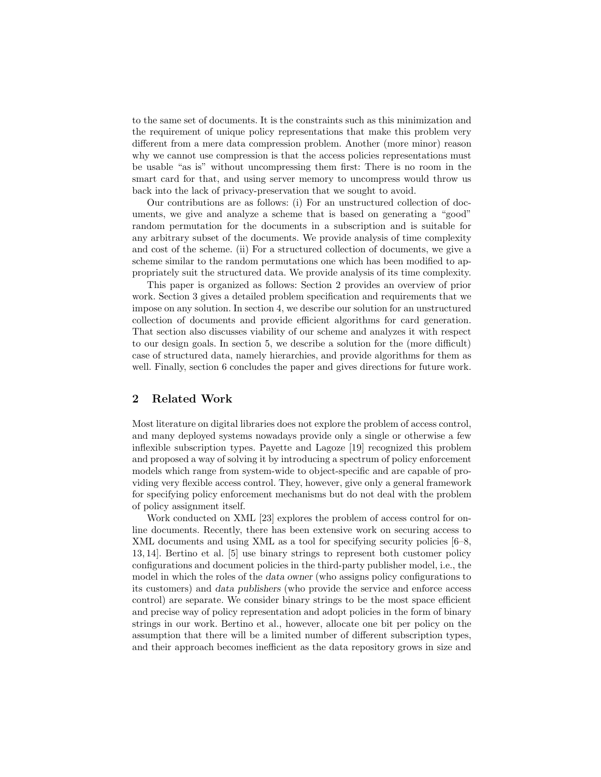to the same set of documents. It is the constraints such as this minimization and the requirement of unique policy representations that make this problem very different from a mere data compression problem. Another (more minor) reason why we cannot use compression is that the access policies representations must be usable "as is" without uncompressing them first: There is no room in the smart card for that, and using server memory to uncompress would throw us back into the lack of privacy-preservation that we sought to avoid.

Our contributions are as follows: (i) For an unstructured collection of documents, we give and analyze a scheme that is based on generating a "good" random permutation for the documents in a subscription and is suitable for any arbitrary subset of the documents. We provide analysis of time complexity and cost of the scheme. (ii) For a structured collection of documents, we give a scheme similar to the random permutations one which has been modified to appropriately suit the structured data. We provide analysis of its time complexity.

This paper is organized as follows: Section 2 provides an overview of prior work. Section 3 gives a detailed problem specification and requirements that we impose on any solution. In section 4, we describe our solution for an unstructured collection of documents and provide efficient algorithms for card generation. That section also discusses viability of our scheme and analyzes it with respect to our design goals. In section 5, we describe a solution for the (more difficult) case of structured data, namely hierarchies, and provide algorithms for them as well. Finally, section 6 concludes the paper and gives directions for future work.

# 2 Related Work

Most literature on digital libraries does not explore the problem of access control, and many deployed systems nowadays provide only a single or otherwise a few inflexible subscription types. Payette and Lagoze [19] recognized this problem and proposed a way of solving it by introducing a spectrum of policy enforcement models which range from system-wide to object-specific and are capable of providing very flexible access control. They, however, give only a general framework for specifying policy enforcement mechanisms but do not deal with the problem of policy assignment itself.

Work conducted on XML [23] explores the problem of access control for online documents. Recently, there has been extensive work on securing access to XML documents and using XML as a tool for specifying security policies [6–8, 13, 14]. Bertino et al. [5] use binary strings to represent both customer policy configurations and document policies in the third-party publisher model, i.e., the model in which the roles of the data owner (who assigns policy configurations to its customers) and data publishers (who provide the service and enforce access control) are separate. We consider binary strings to be the most space efficient and precise way of policy representation and adopt policies in the form of binary strings in our work. Bertino et al., however, allocate one bit per policy on the assumption that there will be a limited number of different subscription types, and their approach becomes inefficient as the data repository grows in size and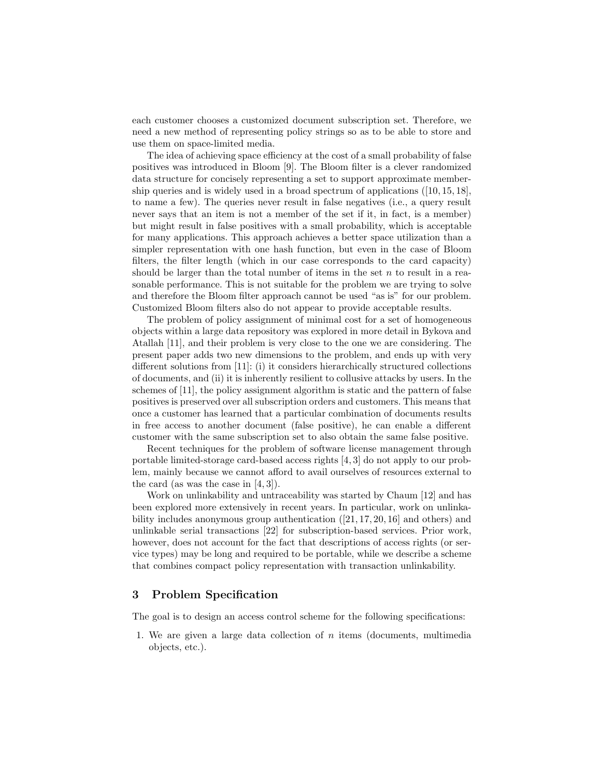each customer chooses a customized document subscription set. Therefore, we need a new method of representing policy strings so as to be able to store and use them on space-limited media.

The idea of achieving space efficiency at the cost of a small probability of false positives was introduced in Bloom [9]. The Bloom filter is a clever randomized data structure for concisely representing a set to support approximate membership queries and is widely used in a broad spectrum of applications ([10, 15, 18], to name a few). The queries never result in false negatives (i.e., a query result never says that an item is not a member of the set if it, in fact, is a member) but might result in false positives with a small probability, which is acceptable for many applications. This approach achieves a better space utilization than a simpler representation with one hash function, but even in the case of Bloom filters, the filter length (which in our case corresponds to the card capacity) should be larger than the total number of items in the set  $n$  to result in a reasonable performance. This is not suitable for the problem we are trying to solve and therefore the Bloom filter approach cannot be used "as is" for our problem. Customized Bloom filters also do not appear to provide acceptable results.

The problem of policy assignment of minimal cost for a set of homogeneous objects within a large data repository was explored in more detail in Bykova and Atallah [11], and their problem is very close to the one we are considering. The present paper adds two new dimensions to the problem, and ends up with very different solutions from [11]: (i) it considers hierarchically structured collections of documents, and (ii) it is inherently resilient to collusive attacks by users. In the schemes of [11], the policy assignment algorithm is static and the pattern of false positives is preserved over all subscription orders and customers. This means that once a customer has learned that a particular combination of documents results in free access to another document (false positive), he can enable a different customer with the same subscription set to also obtain the same false positive.

Recent techniques for the problem of software license management through portable limited-storage card-based access rights [4, 3] do not apply to our problem, mainly because we cannot afford to avail ourselves of resources external to the card (as was the case in [4, 3]).

Work on unlinkability and untraceability was started by Chaum [12] and has been explored more extensively in recent years. In particular, work on unlinkability includes anonymous group authentication ([21, 17, 20, 16] and others) and unlinkable serial transactions [22] for subscription-based services. Prior work, however, does not account for the fact that descriptions of access rights (or service types) may be long and required to be portable, while we describe a scheme that combines compact policy representation with transaction unlinkability.

# 3 Problem Specification

The goal is to design an access control scheme for the following specifications:

1. We are given a large data collection of  $n$  items (documents, multimedia objects, etc.).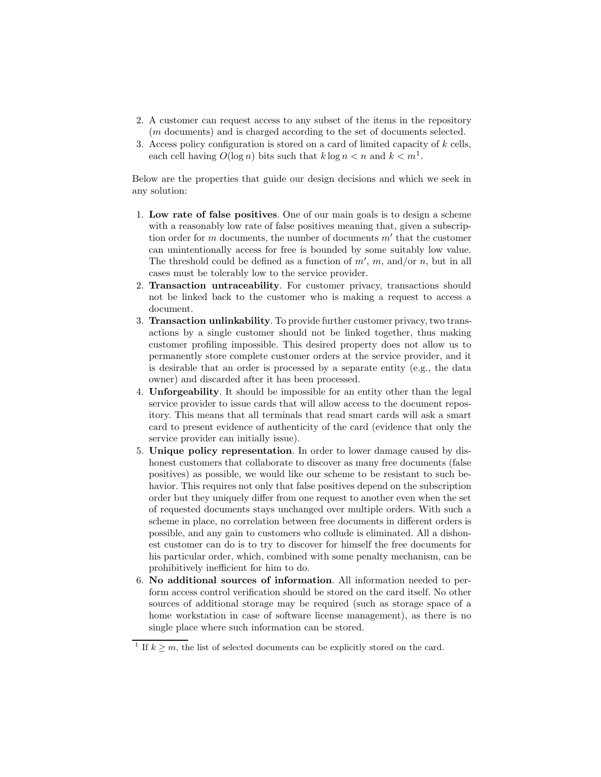- 2. A customer can request access to any subset of the items in the repository (m documents) and is charged according to the set of documents selected.
- 3. Access policy configuration is stored on a card of limited capacity of k cells, each cell having  $O(\log n)$  bits such that  $k \log n < n$  and  $k < m<sup>1</sup>$ .

Below are the properties that guide our design decisions and which we seek in any solution:

- 1. Low rate of false positives. One of our main goals is to design a scheme with a reasonably low rate of false positives meaning that, given a subscription order for  $m$  documents, the number of documents  $m'$  that the customer can unintentionally access for free is bounded by some suitably low value. The threshold could be defined as a function of  $m'$ ,  $m$ , and/or  $n$ , but in all cases must be tolerably low to the service provider.
- 2. Transaction untraceability. For customer privacy, transactions should not be linked back to the customer who is making a request to access a document.
- 3. Transaction unlinkability. To provide further customer privacy, two transactions by a single customer should not be linked together, thus making customer profiling impossible. This desired property does not allow us to permanently store complete customer orders at the service provider, and it is desirable that an order is processed by a separate entity (e.g., the data owner) and discarded after it has been processed.
- 4. Unforgeability. It should be impossible for an entity other than the legal service provider to issue cards that will allow access to the document repository. This means that all terminals that read smart cards will ask a smart card to present evidence of authenticity of the card (evidence that only the service provider can initially issue).
- 5. Unique policy representation. In order to lower damage caused by dishonest customers that collaborate to discover as many free documents (false positives) as possible, we would like our scheme to be resistant to such behavior. This requires not only that false positives depend on the subscription order but they uniquely differ from one request to another even when the set of requested documents stays unchanged over multiple orders. With such a scheme in place, no correlation between free documents in different orders is possible, and any gain to customers who collude is eliminated. All a dishonest customer can do is to try to discover for himself the free documents for his particular order, which, combined with some penalty mechanism, can be prohibitively inefficient for him to do.
- 6. No additional sources of information. All information needed to perform access control verification should be stored on the card itself. No other sources of additional storage may be required (such as storage space of a home workstation in case of software license management), as there is no single place where such information can be stored.

<sup>&</sup>lt;sup>1</sup> If  $k \geq m$ , the list of selected documents can be explicitly stored on the card.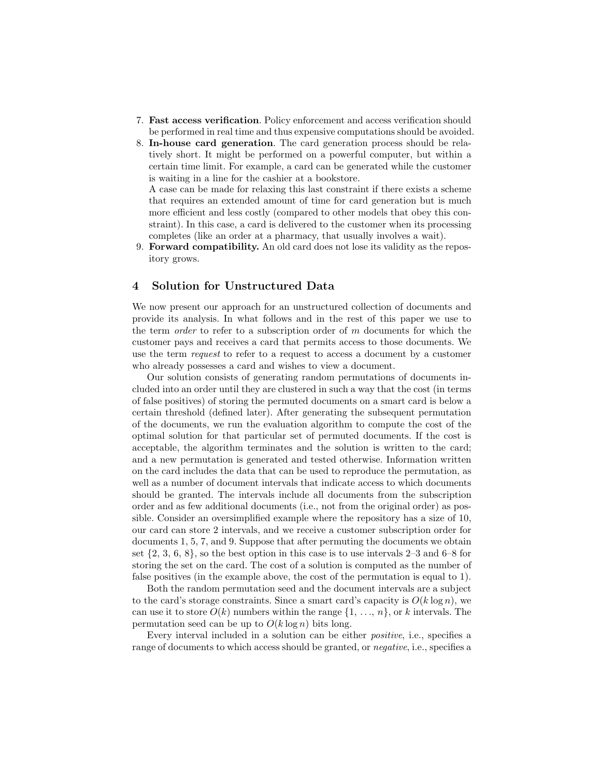- 7. Fast access verification. Policy enforcement and access verification should be performed in real time and thus expensive computations should be avoided.
- 8. In-house card generation. The card generation process should be relatively short. It might be performed on a powerful computer, but within a certain time limit. For example, a card can be generated while the customer is waiting in a line for the cashier at a bookstore.

A case can be made for relaxing this last constraint if there exists a scheme that requires an extended amount of time for card generation but is much more efficient and less costly (compared to other models that obey this constraint). In this case, a card is delivered to the customer when its processing completes (like an order at a pharmacy, that usually involves a wait).

9. Forward compatibility. An old card does not lose its validity as the repository grows.

# 4 Solution for Unstructured Data

We now present our approach for an unstructured collection of documents and provide its analysis. In what follows and in the rest of this paper we use to the term *order* to refer to a subscription order of  $m$  documents for which the customer pays and receives a card that permits access to those documents. We use the term request to refer to a request to access a document by a customer who already possesses a card and wishes to view a document.

Our solution consists of generating random permutations of documents included into an order until they are clustered in such a way that the cost (in terms of false positives) of storing the permuted documents on a smart card is below a certain threshold (defined later). After generating the subsequent permutation of the documents, we run the evaluation algorithm to compute the cost of the optimal solution for that particular set of permuted documents. If the cost is acceptable, the algorithm terminates and the solution is written to the card; and a new permutation is generated and tested otherwise. Information written on the card includes the data that can be used to reproduce the permutation, as well as a number of document intervals that indicate access to which documents should be granted. The intervals include all documents from the subscription order and as few additional documents (i.e., not from the original order) as possible. Consider an oversimplified example where the repository has a size of 10, our card can store 2 intervals, and we receive a customer subscription order for documents 1, 5, 7, and 9. Suppose that after permuting the documents we obtain set  $\{2, 3, 6, 8\}$ , so the best option in this case is to use intervals  $2-3$  and  $6-8$  for storing the set on the card. The cost of a solution is computed as the number of false positives (in the example above, the cost of the permutation is equal to 1).

Both the random permutation seed and the document intervals are a subject to the card's storage constraints. Since a smart card's capacity is  $O(k \log n)$ , we can use it to store  $O(k)$  numbers within the range  $\{1, \ldots, n\}$ , or k intervals. The permutation seed can be up to  $O(k \log n)$  bits long.

Every interval included in a solution can be either positive, i.e., specifies a range of documents to which access should be granted, or *negative*, i.e., specifies a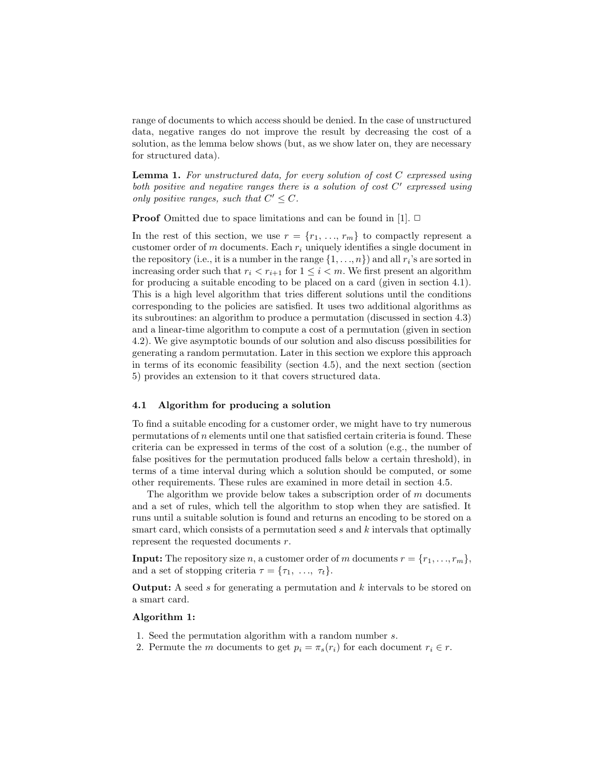range of documents to which access should be denied. In the case of unstructured data, negative ranges do not improve the result by decreasing the cost of a solution, as the lemma below shows (but, as we show later on, they are necessary for structured data).

**Lemma 1.** For unstructured data, for every solution of cost  $C$  expressed using both positive and negative ranges there is a solution of cost  $C'$  expressed using only positive ranges, such that  $C' \leq C$ .

**Proof** Omitted due to space limitations and can be found in [1].  $\Box$ 

In the rest of this section, we use  $r = \{r_1, \ldots, r_m\}$  to compactly represent a customer order of  $m$  documents. Each  $r_i$  uniquely identifies a single document in the repository (i.e., it is a number in the range  $\{1, \ldots, n\}$ ) and all  $r_i$ 's are sorted in increasing order such that  $r_i < r_{i+1}$  for  $1 \leq i < m$ . We first present an algorithm for producing a suitable encoding to be placed on a card (given in section 4.1). This is a high level algorithm that tries different solutions until the conditions corresponding to the policies are satisfied. It uses two additional algorithms as its subroutines: an algorithm to produce a permutation (discussed in section 4.3) and a linear-time algorithm to compute a cost of a permutation (given in section 4.2). We give asymptotic bounds of our solution and also discuss possibilities for generating a random permutation. Later in this section we explore this approach in terms of its economic feasibility (section 4.5), and the next section (section 5) provides an extension to it that covers structured data.

### 4.1 Algorithm for producing a solution

To find a suitable encoding for a customer order, we might have to try numerous permutations of n elements until one that satisfied certain criteria is found. These criteria can be expressed in terms of the cost of a solution (e.g., the number of false positives for the permutation produced falls below a certain threshold), in terms of a time interval during which a solution should be computed, or some other requirements. These rules are examined in more detail in section 4.5.

The algorithm we provide below takes a subscription order of  $m$  documents and a set of rules, which tell the algorithm to stop when they are satisfied. It runs until a suitable solution is found and returns an encoding to be stored on a smart card, which consists of a permutation seed  $s$  and  $k$  intervals that optimally represent the requested documents r.

**Input:** The repository size n, a customer order of m documents  $r = \{r_1, \ldots, r_m\}$ , and a set of stopping criteria  $\tau = {\tau_1, \ldots, \tau_t}.$ 

**Output:** A seed s for generating a permutation and  $k$  intervals to be stored on a smart card.

### Algorithm 1:

- 1. Seed the permutation algorithm with a random number s.
- 2. Permute the m documents to get  $p_i = \pi_s(r_i)$  for each document  $r_i \in r$ .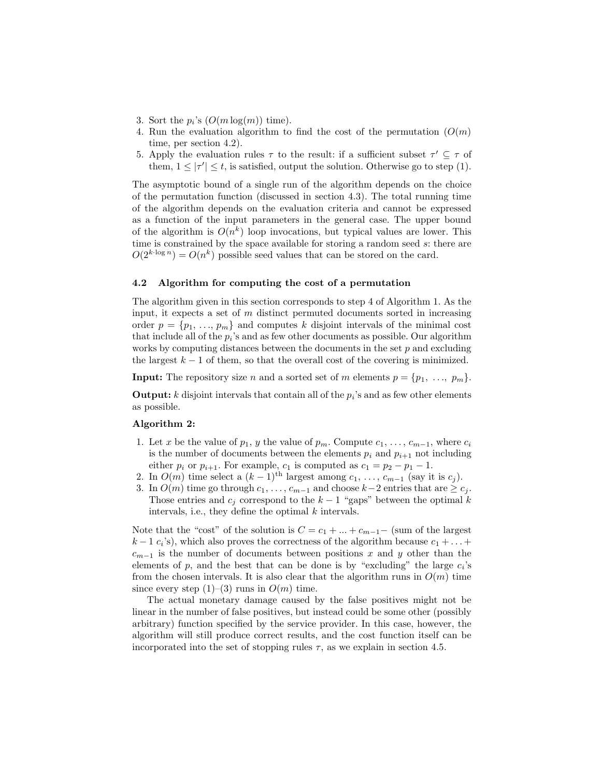- 3. Sort the  $p_i$ 's  $(O(m \log(m))$  time).
- 4. Run the evaluation algorithm to find the cost of the permutation  $(O(m))$ time, per section 4.2).
- 5. Apply the evaluation rules  $\tau$  to the result: if a sufficient subset  $\tau' \subseteq \tau$  of them,  $1 \le |\tau'| \le t$ , is satisfied, output the solution. Otherwise go to step (1).

The asymptotic bound of a single run of the algorithm depends on the choice of the permutation function (discussed in section 4.3). The total running time of the algorithm depends on the evaluation criteria and cannot be expressed as a function of the input parameters in the general case. The upper bound of the algorithm is  $O(n^k)$  loop invocations, but typical values are lower. This time is constrained by the space available for storing a random seed  $s$ : there are  $O(2^{k \cdot \log n}) = O(n^k)$  possible seed values that can be stored on the card.

### 4.2 Algorithm for computing the cost of a permutation

The algorithm given in this section corresponds to step 4 of Algorithm 1. As the input, it expects a set of  $m$  distinct permuted documents sorted in increasing order  $p = \{p_1, \ldots, p_m\}$  and computes k disjoint intervals of the minimal cost that include all of the  $p_i$ 's and as few other documents as possible. Our algorithm works by computing distances between the documents in the set  $p$  and excluding the largest  $k - 1$  of them, so that the overall cost of the covering is minimized.

**Input:** The repository size n and a sorted set of m elements  $p = \{p_1, \ldots, p_m\}$ .

**Output:** k disjoint intervals that contain all of the  $p_i$ 's and as few other elements as possible.

#### Algorithm 2:

- 1. Let x be the value of  $p_1, y$  the value of  $p_m$ . Compute  $c_1, \ldots, c_{m-1}$ , where  $c_i$ is the number of documents between the elements  $p_i$  and  $p_{i+1}$  not including either  $p_i$  or  $p_{i+1}$ . For example,  $c_1$  is computed as  $c_1 = p_2 - p_1 - 1$ .
- 2. In  $O(m)$  time select a  $(k-1)$ <sup>th</sup> largest among  $c_1, \ldots, c_{m-1}$  (say it is  $c_j$ ).
- 3. In  $O(m)$  time go through  $c_1, \ldots, c_{m-1}$  and choose  $k-2$  entries that are  $\geq c_j$ . Those entries and  $c_j$  correspond to the  $k-1$  "gaps" between the optimal k intervals, i.e., they define the optimal  $k$  intervals.

Note that the "cost" of the solution is  $C = c_1 + ... + c_{m-1}$  (sum of the largest  $k-1$   $c_i$ 's), which also proves the correctness of the algorithm because  $c_1 + \ldots + c_i$  $c_{m-1}$  is the number of documents between positions x and y other than the elements of  $p$ , and the best that can be done is by "excluding" the large  $c_i$ 's from the chosen intervals. It is also clear that the algorithm runs in  $O(m)$  time since every step  $(1)$ – $(3)$  runs in  $O(m)$  time.

The actual monetary damage caused by the false positives might not be linear in the number of false positives, but instead could be some other (possibly arbitrary) function specified by the service provider. In this case, however, the algorithm will still produce correct results, and the cost function itself can be incorporated into the set of stopping rules  $\tau$ , as we explain in section 4.5.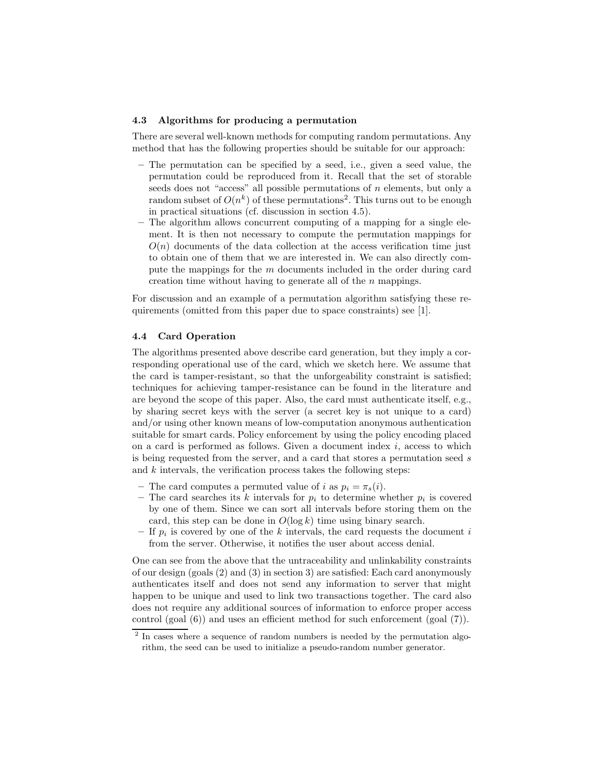### 4.3 Algorithms for producing a permutation

There are several well-known methods for computing random permutations. Any method that has the following properties should be suitable for our approach:

- The permutation can be specified by a seed, i.e., given a seed value, the permutation could be reproduced from it. Recall that the set of storable seeds does not "access" all possible permutations of  $n$  elements, but only a random subset of  $O(n^k)$  of these permutations<sup>2</sup>. This turns out to be enough in practical situations (cf. discussion in section 4.5).
- The algorithm allows concurrent computing of a mapping for a single element. It is then not necessary to compute the permutation mappings for  $O(n)$  documents of the data collection at the access verification time just to obtain one of them that we are interested in. We can also directly compute the mappings for the m documents included in the order during card creation time without having to generate all of the n mappings.

For discussion and an example of a permutation algorithm satisfying these requirements (omitted from this paper due to space constraints) see [1].

#### 4.4 Card Operation

The algorithms presented above describe card generation, but they imply a corresponding operational use of the card, which we sketch here. We assume that the card is tamper-resistant, so that the unforgeability constraint is satisfied; techniques for achieving tamper-resistance can be found in the literature and are beyond the scope of this paper. Also, the card must authenticate itself, e.g., by sharing secret keys with the server (a secret key is not unique to a card) and/or using other known means of low-computation anonymous authentication suitable for smart cards. Policy enforcement by using the policy encoding placed on a card is performed as follows. Given a document index  $i$ , access to which is being requested from the server, and a card that stores a permutation seed s and  $k$  intervals, the verification process takes the following steps:

- The card computes a permuted value of i as  $p_i = \pi_s(i)$ .
- The card searches its k intervals for  $p_i$  to determine whether  $p_i$  is covered by one of them. Since we can sort all intervals before storing them on the card, this step can be done in  $O(\log k)$  time using binary search.
- $-$  If  $p_i$  is covered by one of the k intervals, the card requests the document i from the server. Otherwise, it notifies the user about access denial.

One can see from the above that the untraceability and unlinkability constraints of our design (goals (2) and (3) in section 3) are satisfied: Each card anonymously authenticates itself and does not send any information to server that might happen to be unique and used to link two transactions together. The card also does not require any additional sources of information to enforce proper access control (goal (6)) and uses an efficient method for such enforcement (goal (7)).

<sup>&</sup>lt;sup>2</sup> In cases where a sequence of random numbers is needed by the permutation algorithm, the seed can be used to initialize a pseudo-random number generator.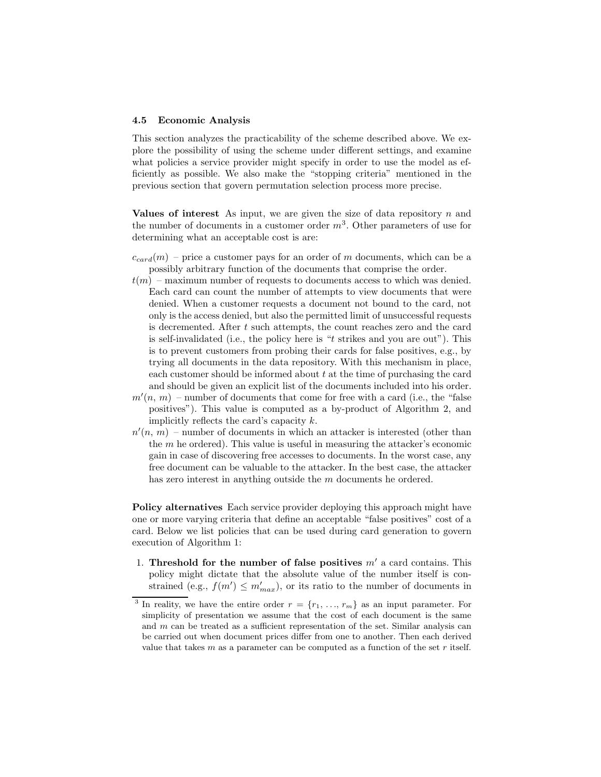#### 4.5 Economic Analysis

This section analyzes the practicability of the scheme described above. We explore the possibility of using the scheme under different settings, and examine what policies a service provider might specify in order to use the model as efficiently as possible. We also make the "stopping criteria" mentioned in the previous section that govern permutation selection process more precise.

Values of interest As input, we are given the size of data repository  $n$  and the number of documents in a customer order  $m^3$ . Other parameters of use for determining what an acceptable cost is are:

- $c_{card}(m)$  price a customer pays for an order of m documents, which can be a possibly arbitrary function of the documents that comprise the order.
- $t(m)$  maximum number of requests to documents access to which was denied. Each card can count the number of attempts to view documents that were denied. When a customer requests a document not bound to the card, not only is the access denied, but also the permitted limit of unsuccessful requests is decremented. After  $t$  such attempts, the count reaches zero and the card is self-invalidated (i.e., the policy here is " $t$  strikes and you are out"). This is to prevent customers from probing their cards for false positives, e.g., by trying all documents in the data repository. With this mechanism in place, each customer should be informed about  $t$  at the time of purchasing the card and should be given an explicit list of the documents included into his order.
- $m'(n, m)$  number of documents that come for free with a card (i.e., the "false positives"). This value is computed as a by-product of Algorithm 2, and implicitly reflects the card's capacity k.
- $n'(n, m)$  number of documents in which an attacker is interested (other than the m he ordered). This value is useful in measuring the attacker's economic gain in case of discovering free accesses to documents. In the worst case, any free document can be valuable to the attacker. In the best case, the attacker has zero interest in anything outside the m documents he ordered.

Policy alternatives Each service provider deploying this approach might have one or more varying criteria that define an acceptable "false positives" cost of a card. Below we list policies that can be used during card generation to govern execution of Algorithm 1:

1. Threshold for the number of false positives  $m'$  a card contains. This policy might dictate that the absolute value of the number itself is constrained (e.g.,  $f(m') \leq m'_{max}$ ), or its ratio to the number of documents in

<sup>&</sup>lt;sup>3</sup> In reality, we have the entire order  $r = \{r_1, \ldots, r_m\}$  as an input parameter. For simplicity of presentation we assume that the cost of each document is the same and m can be treated as a sufficient representation of the set. Similar analysis can be carried out when document prices differ from one to another. Then each derived value that takes  $m$  as a parameter can be computed as a function of the set  $r$  itself.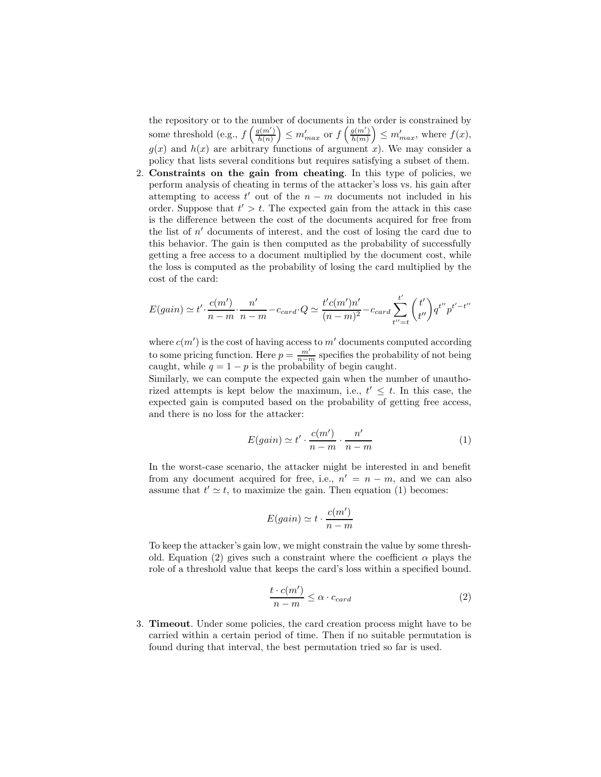the repository or to the number of documents in the order is constrained by some threshold (e.g.,  $f\left(\frac{g(m')}{h(n)}\right)$  $\left(\frac{g(m')}{h(n)}\right) \leq m'_{max}$  or  $f\left(\frac{g(m')}{h(m)}\right)$  $\left(\frac{g(m')}{h(m)}\right) \leq m'_{max}$ , where  $f(x)$ ,  $g(x)$  and  $h(x)$  are arbitrary functions of argument x). We may consider a policy that lists several conditions but requires satisfying a subset of them.

2. Constraints on the gain from cheating. In this type of policies, we perform analysis of cheating in terms of the attacker's loss vs. his gain after attempting to access  $t'$  out of the  $n - m$  documents not included in his order. Suppose that  $t' > t$ . The expected gain from the attack in this case is the difference between the cost of the documents acquired for free from the list of  $n'$  documents of interest, and the cost of losing the card due to this behavior. The gain is then computed as the probability of successfully getting a free access to a document multiplied by the document cost, while the loss is computed as the probability of losing the card multiplied by the cost of the card:

$$
E(gain) \simeq t' \cdot \frac{c(m')}{n-m} \cdot \frac{n'}{n-m} - c_{card} \cdot Q \simeq \frac{t'c(m')n'}{(n-m)^2} - c_{card} \sum_{t''=t}^{t'} {t' \choose t''} q^{t''} p^{t'-t''}
$$

where  $c(m')$  is the cost of having access to  $m'$  documents computed according to some pricing function. Here  $p = \frac{m'}{n-m}$  specifies the probability of not being caught, while  $q = 1 - p$  is the probability of begin caught.

Similarly, we can compute the expected gain when the number of unauthorized attempts is kept below the maximum, i.e.,  $t' \leq t$ . In this case, the expected gain is computed based on the probability of getting free access, and there is no loss for the attacker:

$$
E(gain) \simeq t' \cdot \frac{c(m')}{n-m} \cdot \frac{n'}{n-m} \tag{1}
$$

In the worst-case scenario, the attacker might be interested in and benefit from any document acquired for free, i.e.,  $n' = n - m$ , and we can also assume that  $t' \simeq t$ , to maximize the gain. Then equation (1) becomes:

$$
E(gain) \simeq t \cdot \frac{c(m')}{n-m}
$$

To keep the attacker's gain low, we might constrain the value by some threshold. Equation (2) gives such a constraint where the coefficient  $\alpha$  plays the role of a threshold value that keeps the card's loss within a specified bound.

$$
\frac{t \cdot c(m')}{n-m} \le \alpha \cdot c_{card} \tag{2}
$$

3. Timeout. Under some policies, the card creation process might have to be carried within a certain period of time. Then if no suitable permutation is found during that interval, the best permutation tried so far is used.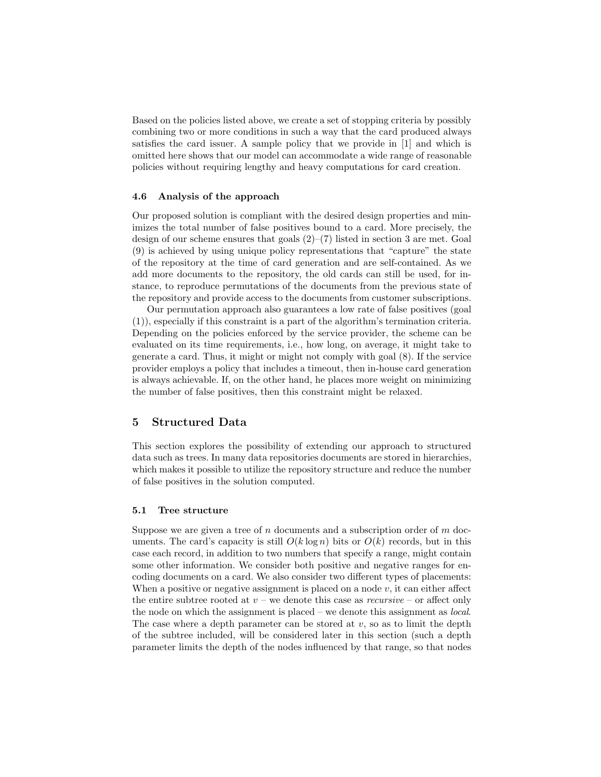Based on the policies listed above, we create a set of stopping criteria by possibly combining two or more conditions in such a way that the card produced always satisfies the card issuer. A sample policy that we provide in [1] and which is omitted here shows that our model can accommodate a wide range of reasonable policies without requiring lengthy and heavy computations for card creation.

#### 4.6 Analysis of the approach

Our proposed solution is compliant with the desired design properties and minimizes the total number of false positives bound to a card. More precisely, the design of our scheme ensures that goals (2)–(7) listed in section 3 are met. Goal (9) is achieved by using unique policy representations that "capture" the state of the repository at the time of card generation and are self-contained. As we add more documents to the repository, the old cards can still be used, for instance, to reproduce permutations of the documents from the previous state of the repository and provide access to the documents from customer subscriptions.

Our permutation approach also guarantees a low rate of false positives (goal (1)), especially if this constraint is a part of the algorithm's termination criteria. Depending on the policies enforced by the service provider, the scheme can be evaluated on its time requirements, i.e., how long, on average, it might take to generate a card. Thus, it might or might not comply with goal (8). If the service provider employs a policy that includes a timeout, then in-house card generation is always achievable. If, on the other hand, he places more weight on minimizing the number of false positives, then this constraint might be relaxed.

## 5 Structured Data

This section explores the possibility of extending our approach to structured data such as trees. In many data repositories documents are stored in hierarchies, which makes it possible to utilize the repository structure and reduce the number of false positives in the solution computed.

### 5.1 Tree structure

Suppose we are given a tree of  $n$  documents and a subscription order of  $m$  documents. The card's capacity is still  $O(k \log n)$  bits or  $O(k)$  records, but in this case each record, in addition to two numbers that specify a range, might contain some other information. We consider both positive and negative ranges for encoding documents on a card. We also consider two different types of placements: When a positive or negative assignment is placed on a node  $v$ , it can either affect the entire subtree rooted at  $v$  – we denote this case as *recursive* – or affect only the node on which the assignment is placed – we denote this assignment as local. The case where a depth parameter can be stored at  $v$ , so as to limit the depth of the subtree included, will be considered later in this section (such a depth parameter limits the depth of the nodes influenced by that range, so that nodes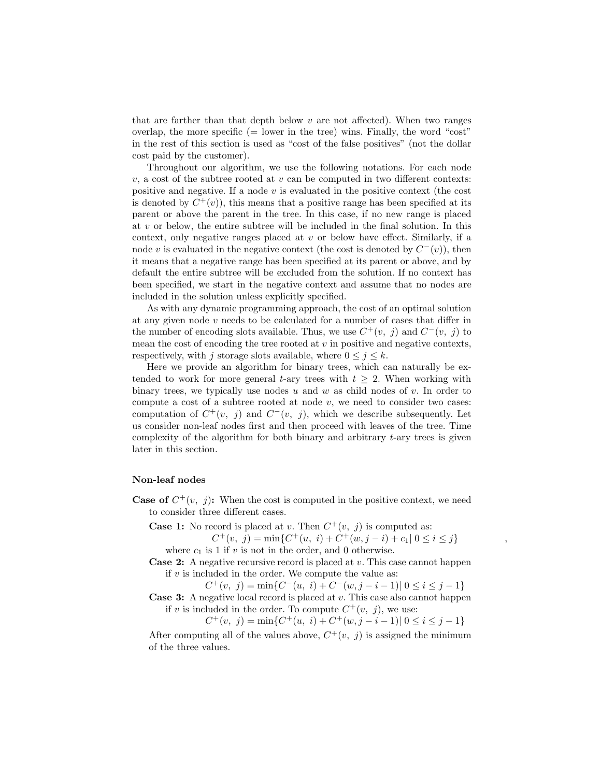that are farther than that depth below  $v$  are not affected). When two ranges overlap, the more specific  $(=$  lower in the tree) wins. Finally, the word "cost" in the rest of this section is used as "cost of the false positives" (not the dollar cost paid by the customer).

Throughout our algorithm, we use the following notations. For each node  $v$ , a cost of the subtree rooted at  $v$  can be computed in two different contexts: positive and negative. If a node  $v$  is evaluated in the positive context (the cost is denoted by  $C^+(v)$ , this means that a positive range has been specified at its parent or above the parent in the tree. In this case, if no new range is placed at  $v$  or below, the entire subtree will be included in the final solution. In this context, only negative ranges placed at  $v$  or below have effect. Similarly, if a node v is evaluated in the negative context (the cost is denoted by  $C^-(v)$ ), then it means that a negative range has been specified at its parent or above, and by default the entire subtree will be excluded from the solution. If no context has been specified, we start in the negative context and assume that no nodes are included in the solution unless explicitly specified.

As with any dynamic programming approach, the cost of an optimal solution at any given node  $v$  needs to be calculated for a number of cases that differ in the number of encoding slots available. Thus, we use  $C^+(v, j)$  and  $C^-(v, j)$  to mean the cost of encoding the tree rooted at  $v$  in positive and negative contexts, respectively, with j storage slots available, where  $0 \leq j \leq k$ .

Here we provide an algorithm for binary trees, which can naturally be extended to work for more general t-ary trees with  $t \geq 2$ . When working with binary trees, we typically use nodes u and w as child nodes of v. In order to compute a cost of a subtree rooted at node  $v$ , we need to consider two cases: computation of  $C^+(v, j)$  and  $C^-(v, j)$ , which we describe subsequently. Let us consider non-leaf nodes first and then proceed with leaves of the tree. Time complexity of the algorithm for both binary and arbitrary  $t$ -ary trees is given later in this section.

### Non-leaf nodes

- **Case of**  $C^+(v, j)$ : When the cost is computed in the positive context, we need to consider three different cases.
	- **Case 1:** No record is placed at v. Then  $C^+(v, j)$  is computed as:

$$
C^+(v, j) = \min\{C^+(u, i) + C^+(w, j - i) + c_1 | 0 \le i \le j\},\,
$$

- where  $c_1$  is 1 if v is not in the order, and 0 otherwise.
- **Case 2:** A negative recursive record is placed at  $v$ . This case cannot happen if  $v$  is included in the order. We compute the value as:

 $C^+(v, j) = \min\{C^-(u, i) + C^-(w, j - i - 1)| 0 \le i \le j - 1\}$ **Case 3:** A negative local record is placed at  $v$ . This case also cannot happen

if v is included in the order. To compute  $C^+(v, j)$ , we use:

 $C^+(v, j) = \min\{C^+(u, i) + C^+(w, j - i - 1)| 0 \le i \le j - 1\}$ 

After computing all of the values above,  $C^+(v, j)$  is assigned the minimum of the three values.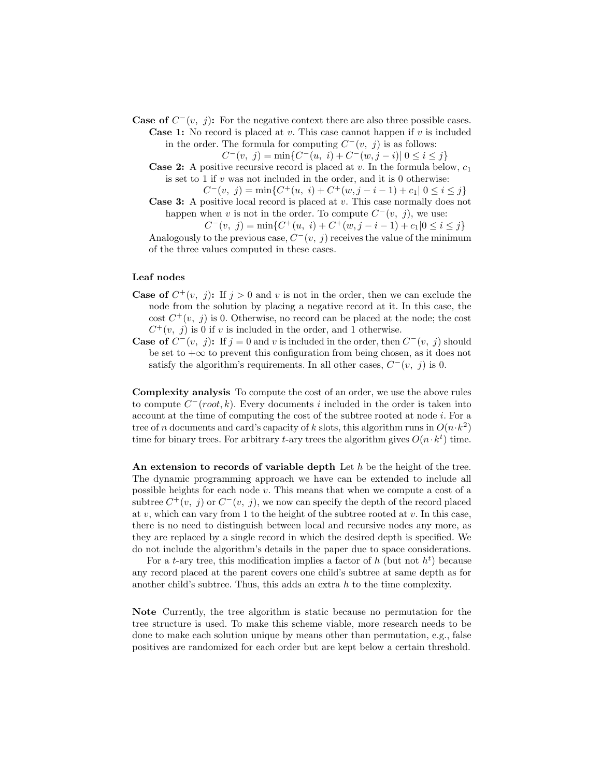**Case of**  $C^-(v, j)$ : For the negative context there are also three possible cases.

**Case 1:** No record is placed at v. This case cannot happen if v is included in the order. The formula for computing  $C^-(v, j)$  is as follows:

 $C^-(v, j) = \min\{C^-(u, i) + C^-(w, j - i) | 0 \le i \le j\}$ 

- **Case 2:** A positive recursive record is placed at v. In the formula below,  $c_1$ is set to  $1$  if  $v$  was not included in the order, and it is  $0$  otherwise:
	- $C^-(v, j) = \min\{C^+(u, i) + C^+(w, j i 1) + c_1 | 0 \le i \le j\}$
- Case 3: A positive local record is placed at v. This case normally does not happen when v is not in the order. To compute  $C^-(v, j)$ , we use:

 $C^-(v, j) = \min\{C^+(u, i) + C^+(w, j - i - 1) + c_1|0 \le i \le j\}$ Analogously to the previous case,  $C^-(v, j)$  receives the value of the minimum of the three values computed in these cases.

### Leaf nodes

- **Case of**  $C^+(v, j)$ : If  $j > 0$  and v is not in the order, then we can exclude the node from the solution by placing a negative record at it. In this case, the cost  $C^+(v, j)$  is 0. Otherwise, no record can be placed at the node; the cost  $C^+(v, j)$  is 0 if v is included in the order, and 1 otherwise.
- **Case of**  $C^-(v, j)$ : If  $j = 0$  and v is included in the order, then  $C^-(v, j)$  should be set to  $+\infty$  to prevent this configuration from being chosen, as it does not satisfy the algorithm's requirements. In all other cases,  $C^-(v, j)$  is 0.

Complexity analysis To compute the cost of an order, we use the above rules to compute  $C^-(root, k)$ . Every documents i included in the order is taken into account at the time of computing the cost of the subtree rooted at node  $i$ . For a tree of n documents and card's capacity of k slots, this algorithm runs in  $O(n \cdot k^2)$ time for binary trees. For arbitrary t-ary trees the algorithm gives  $O(n \cdot k^t)$  time.

An extension to records of variable depth Let  $h$  be the height of the tree. The dynamic programming approach we have can be extended to include all possible heights for each node v. This means that when we compute a cost of a subtree  $C^+(v, j)$  or  $C^-(v, j)$ , we now can specify the depth of the record placed at  $v$ , which can vary from 1 to the height of the subtree rooted at  $v$ . In this case, there is no need to distinguish between local and recursive nodes any more, as they are replaced by a single record in which the desired depth is specified. We do not include the algorithm's details in the paper due to space considerations.

For a t-ary tree, this modification implies a factor of  $h$  (but not  $h<sup>t</sup>$ ) because any record placed at the parent covers one child's subtree at same depth as for another child's subtree. Thus, this adds an extra  $h$  to the time complexity.

Note Currently, the tree algorithm is static because no permutation for the tree structure is used. To make this scheme viable, more research needs to be done to make each solution unique by means other than permutation, e.g., false positives are randomized for each order but are kept below a certain threshold.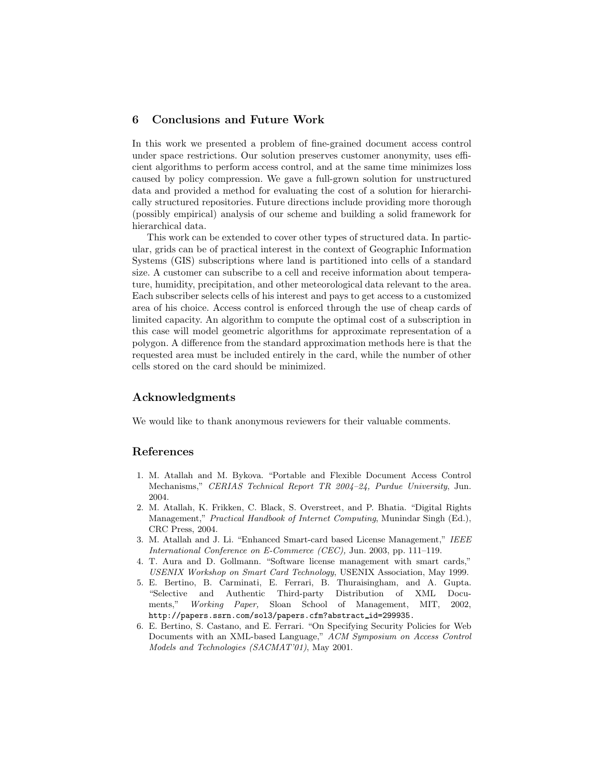# 6 Conclusions and Future Work

In this work we presented a problem of fine-grained document access control under space restrictions. Our solution preserves customer anonymity, uses efficient algorithms to perform access control, and at the same time minimizes loss caused by policy compression. We gave a full-grown solution for unstructured data and provided a method for evaluating the cost of a solution for hierarchically structured repositories. Future directions include providing more thorough (possibly empirical) analysis of our scheme and building a solid framework for hierarchical data.

This work can be extended to cover other types of structured data. In particular, grids can be of practical interest in the context of Geographic Information Systems (GIS) subscriptions where land is partitioned into cells of a standard size. A customer can subscribe to a cell and receive information about temperature, humidity, precipitation, and other meteorological data relevant to the area. Each subscriber selects cells of his interest and pays to get access to a customized area of his choice. Access control is enforced through the use of cheap cards of limited capacity. An algorithm to compute the optimal cost of a subscription in this case will model geometric algorithms for approximate representation of a polygon. A difference from the standard approximation methods here is that the requested area must be included entirely in the card, while the number of other cells stored on the card should be minimized.

# Acknowledgments

We would like to thank anonymous reviewers for their valuable comments.

# References

- 1. M. Atallah and M. Bykova. "Portable and Flexible Document Access Control Mechanisms," CERIAS Technical Report TR 2004–24, Purdue University, Jun. 2004.
- 2. M. Atallah, K. Frikken, C. Black, S. Overstreet, and P. Bhatia. "Digital Rights Management," Practical Handbook of Internet Computing, Munindar Singh (Ed.), CRC Press, 2004.
- 3. M. Atallah and J. Li. "Enhanced Smart-card based License Management," IEEE International Conference on E-Commerce (CEC), Jun. 2003, pp. 111–119.
- 4. T. Aura and D. Gollmann. "Software license management with smart cards," USENIX Workshop on Smart Card Technology, USENIX Association, May 1999.
- 5. E. Bertino, B. Carminati, E. Ferrari, B. Thuraisingham, and A. Gupta. "Selective and Authentic Third-party Distribution of XML Documents," Working Paper, Sloan School of Management, MIT, 2002, http://papers.ssrn.com/sol3/papers.cfm?abstract id=299935.
- 6. E. Bertino, S. Castano, and E. Ferrari. "On Specifying Security Policies for Web Documents with an XML-based Language," ACM Symposium on Access Control Models and Technologies (SACMAT'01), May 2001.